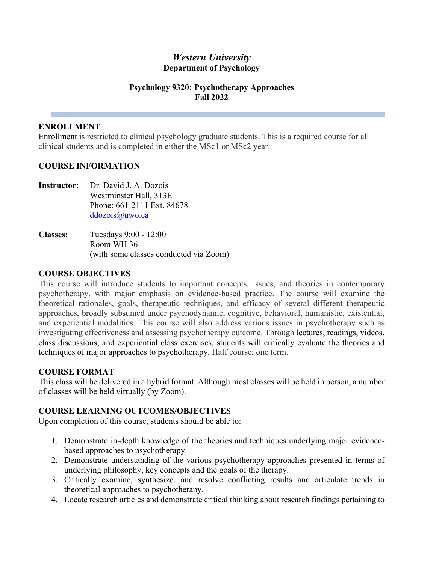# *Western University* **Department of Psychology**

#### **Psychology 9320: Psychotherapy Approaches Fall 2022**

### **ENROLLMENT**

Enrollment is restricted to clinical psychology graduate students. This is a required course for all clinical students and is completed in either the MSc1 or MSc2 year.

### **COURSE INFORMATION**

- **Instructor:** Dr. David J. A. Dozois Westminster Hall, 313E Phone: 661-2111 Ext. 84678 ddozois@uwo.ca
- **Classes:** Tuesdays 9:00 12:00 Room WH 36 (with some classes conducted via Zoom)

### **COURSE OBJECTIVES**

This course will introduce students to important concepts, issues, and theories in contemporary psychotherapy, with major emphasis on evidence-based practice. The course will examine the theoretical rationales, goals, therapeutic techniques, and efficacy of several different therapeutic approaches, broadly subsumed under psychodynamic, cognitive, behavioral, humanistic, existential, and experiential modalities. This course will also address various issues in psychotherapy such as investigating effectiveness and assessing psychotherapy outcome. Through lectures, readings, videos, class discussions, and experiential class exercises, students will critically evaluate the theories and techniques of major approaches to psychotherapy. Half course; one term.

### **COURSE FORMAT**

This class will be delivered in a hybrid format. Although most classes will be held in person, a number of classes will be held virtually (by Zoom).

### **COURSE LEARNING OUTCOMES/OBJECTIVES**

Upon completion of this course, students should be able to:

- 1. Demonstrate in-depth knowledge of the theories and techniques underlying major evidencebased approaches to psychotherapy.
- 2. Demonstrate understanding of the various psychotherapy approaches presented in terms of underlying philosophy, key concepts and the goals of the therapy.
- 3. Critically examine, synthesize, and resolve conflicting results and articulate trends in theoretical approaches to psychotherapy.
- 4. Locate research articles and demonstrate critical thinking about research findings pertaining to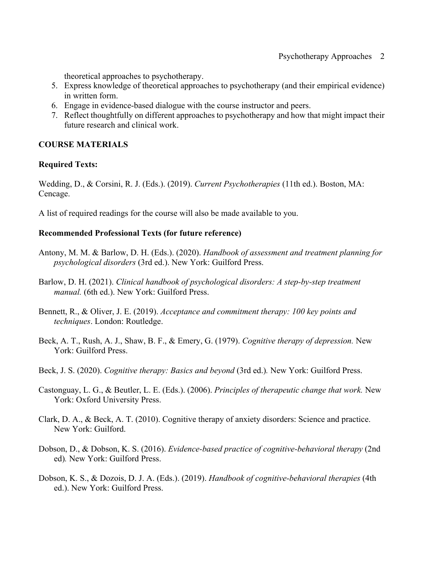theoretical approaches to psychotherapy.

- 5. Express knowledge of theoretical approaches to psychotherapy (and their empirical evidence) in written form.
- 6. Engage in evidence-based dialogue with the course instructor and peers.
- 7. Reflect thoughtfully on different approaches to psychotherapy and how that might impact their future research and clinical work.

# **COURSE MATERIALS**

### **Required Texts:**

Wedding, D., & Corsini, R. J. (Eds.). (2019). *Current Psychotherapies* (11th ed.). Boston, MA: Cencage.

A list of required readings for the course will also be made available to you.

### **Recommended Professional Texts (for future reference)**

- Antony, M. M. & Barlow, D. H. (Eds.). (2020). *Handbook of assessment and treatment planning for psychological disorders* (3rd ed.). New York: Guilford Press.
- Barlow, D. H. (2021). *Clinical handbook of psychological disorders: A step-by-step treatment manual.* (6th ed.). New York: Guilford Press.
- Bennett, R., & Oliver, J. E. (2019). *Acceptance and commitment therapy: 100 key points and techniques*. London: Routledge.
- Beck, A. T., Rush, A. J., Shaw, B. F., & Emery, G. (1979). *Cognitive therapy of depression.* New York: Guilford Press.
- Beck, J. S. (2020). *Cognitive therapy: Basics and beyond* (3rd ed.)*.* New York: Guilford Press.
- Castonguay, L. G., & Beutler, L. E. (Eds.). (2006). *Principles of therapeutic change that work.* New York: Oxford University Press.
- Clark, D. A., & Beck, A. T. (2010). Cognitive therapy of anxiety disorders: Science and practice. New York: Guilford.
- Dobson, D., & Dobson, K. S. (2016). *Evidence-based practice of cognitive-behavioral therapy* (2nd ed)*.* New York: Guilford Press.
- Dobson, K. S., & Dozois, D. J. A. (Eds.). (2019). *Handbook of cognitive-behavioral therapies* (4th ed.). New York: Guilford Press.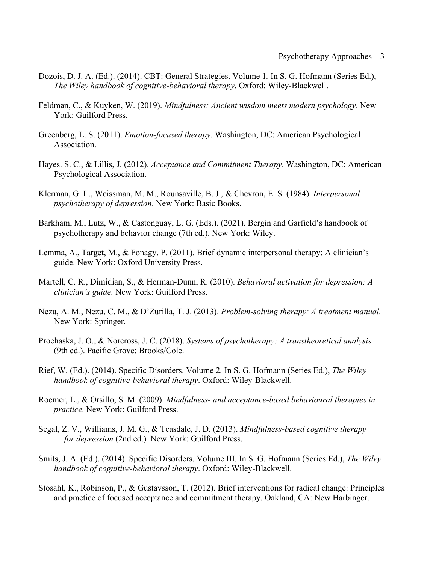#### Psychotherapy Approaches 3

- Dozois, D. J. A. (Ed.). (2014). CBT: General Strategies. Volume 1*.* In S. G. Hofmann (Series Ed.), *The Wiley handbook of cognitive-behavioral therapy*. Oxford: Wiley-Blackwell.
- Feldman, C., & Kuyken, W. (2019). *Mindfulness: Ancient wisdom meets modern psychology*. New York: Guilford Press.
- Greenberg, L. S. (2011). *Emotion-focused therapy*. Washington, DC: American Psychological Association.
- Hayes. S. C., & Lillis, J. (2012). *Acceptance and Commitment Therapy*. Washington, DC: American Psychological Association.
- Klerman, G. L., Weissman, M. M., Rounsaville, B. J., & Chevron, E. S. (1984). *Interpersonal psychotherapy of depression*. New York: Basic Books.
- Barkham, M., Lutz, W., & Castonguay, L. G. (Eds.). (2021). Bergin and Garfield's handbook of psychotherapy and behavior change (7th ed.). New York: Wiley.
- Lemma, A., Target, M., & Fonagy, P. (2011). Brief dynamic interpersonal therapy: A clinician's guide. New York: Oxford University Press.
- Martell, C. R., Dimidian, S., & Herman-Dunn, R. (2010). *Behavioral activation for depression: A clinician's guide.* New York: Guilford Press.
- Nezu, A. M., Nezu, C. M., & D'Zurilla, T. J. (2013). *Problem-solving therapy: A treatment manual.*  New York: Springer.
- Prochaska, J. O., & Norcross, J. C. (2018). *Systems of psychotherapy: A transtheoretical analysis* (9th ed.). Pacific Grove: Brooks/Cole.
- Rief, W. (Ed.). (2014). Specific Disorders. Volume 2*.* In S. G. Hofmann (Series Ed.), *The Wiley handbook of cognitive-behavioral therapy*. Oxford: Wiley-Blackwell.
- Roemer, L., & Orsillo, S. M. (2009). *Mindfulness- and acceptance-based behavioural therapies in practice*. New York: Guilford Press.
- Segal, Z. V., Williams, J. M. G., & Teasdale, J. D. (2013). *Mindfulness-based cognitive therapy for depression* (2nd ed.)*.* New York: Guilford Press.
- Smits, J. A. (Ed.). (2014). Specific Disorders. Volume III*.* In S. G. Hofmann (Series Ed.), *The Wiley handbook of cognitive-behavioral therapy*. Oxford: Wiley-Blackwell.
- Stosahl, K., Robinson, P., & Gustavsson, T. (2012). Brief interventions for radical change: Principles and practice of focused acceptance and commitment therapy. Oakland, CA: New Harbinger.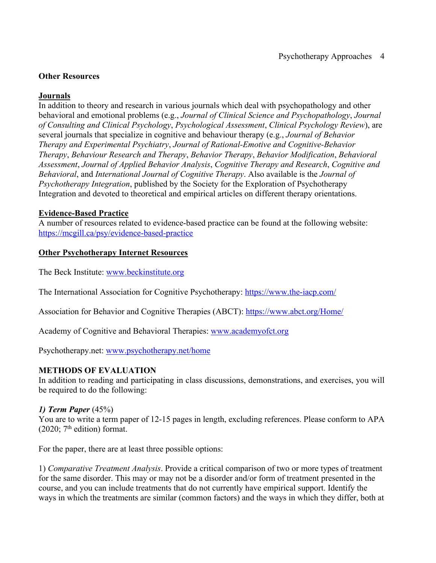### **Other Resources**

### **Journals**

In addition to theory and research in various journals which deal with psychopathology and other behavioral and emotional problems (e.g., *Journal of Clinical Science and Psychopathology*, *Journal of Consulting and Clinical Psychology*, *Psychological Assessment*, *Clinical Psychology Review*), are several journals that specialize in cognitive and behaviour therapy (e.g., *Journal of Behavior Therapy and Experimental Psychiatry*, *Journal of Rational-Emotive and Cognitive-Behavior Therapy*, *Behaviour Research and Therapy*, *Behavior Therapy*, *Behavior Modification*, *Behavioral Assessment*, *Journal of Applied Behavior Analysis*, *Cognitive Therapy and Research*, *Cognitive and Behavioral*, and *International Journal of Cognitive Therapy*. Also available is the *Journal of Psychotherapy Integration*, published by the Society for the Exploration of Psychotherapy Integration and devoted to theoretical and empirical articles on different therapy orientations.

#### **Evidence-Based Practice**

A number of resources related to evidence-based practice can be found at the following website: https://mcgill.ca/psy/evidence-based-practice

#### **Other Psychotherapy Internet Resources**

The Beck Institute: www.beckinstitute.org

The International Association for Cognitive Psychotherapy: https://www.the-iacp.com/

Association for Behavior and Cognitive Therapies (ABCT): https://www.abct.org/Home/

Academy of Cognitive and Behavioral Therapies: www.academyofct.org

Psychotherapy.net: www.psychotherapy.net/home

### **METHODS OF EVALUATION**

In addition to reading and participating in class discussions, demonstrations, and exercises, you will be required to do the following:

#### *1) Term Paper* (45%)

You are to write a term paper of 12-15 pages in length, excluding references. Please conform to APA  $(2020; 7<sup>th</sup> edition) format.$ 

For the paper, there are at least three possible options:

1) *Comparative Treatment Analysis*. Provide a critical comparison of two or more types of treatment for the same disorder. This may or may not be a disorder and/or form of treatment presented in the course, and you can include treatments that do not currently have empirical support. Identify the ways in which the treatments are similar (common factors) and the ways in which they differ, both at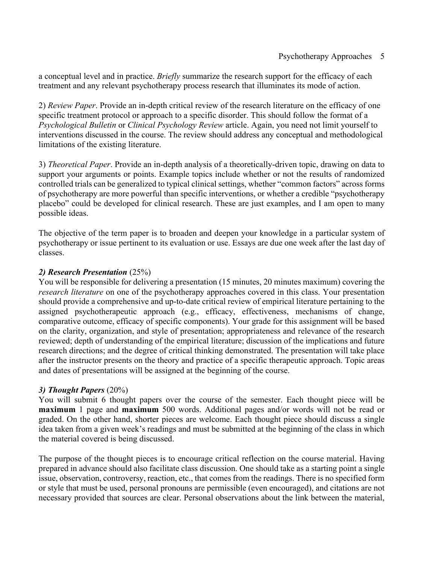a conceptual level and in practice. *Briefly* summarize the research support for the efficacy of each treatment and any relevant psychotherapy process research that illuminates its mode of action.

2) *Review Paper*. Provide an in-depth critical review of the research literature on the efficacy of one specific treatment protocol or approach to a specific disorder. This should follow the format of a *Psychological Bulletin* or *Clinical Psychology Review* article. Again, you need not limit yourself to interventions discussed in the course. The review should address any conceptual and methodological limitations of the existing literature.

3) *Theoretical Paper*. Provide an in-depth analysis of a theoretically-driven topic, drawing on data to support your arguments or points. Example topics include whether or not the results of randomized controlled trials can be generalized to typical clinical settings, whether "common factors" across forms of psychotherapy are more powerful than specific interventions, or whether a credible "psychotherapy placebo" could be developed for clinical research. These are just examples, and I am open to many possible ideas.

The objective of the term paper is to broaden and deepen your knowledge in a particular system of psychotherapy or issue pertinent to its evaluation or use. Essays are due one week after the last day of classes.

### *2) Research Presentation* (25%)

You will be responsible for delivering a presentation (15 minutes, 20 minutes maximum) covering the *research literature* on one of the psychotherapy approaches covered in this class. Your presentation should provide a comprehensive and up-to-date critical review of empirical literature pertaining to the assigned psychotherapeutic approach (e.g., efficacy, effectiveness, mechanisms of change, comparative outcome, efficacy of specific components). Your grade for this assignment will be based on the clarity, organization, and style of presentation; appropriateness and relevance of the research reviewed; depth of understanding of the empirical literature; discussion of the implications and future research directions; and the degree of critical thinking demonstrated. The presentation will take place after the instructor presents on the theory and practice of a specific therapeutic approach. Topic areas and dates of presentations will be assigned at the beginning of the course.

# *3) Thought Papers* (20%)

You will submit 6 thought papers over the course of the semester. Each thought piece will be **maximum** 1 page and **maximum** 500 words. Additional pages and/or words will not be read or graded. On the other hand, shorter pieces are welcome. Each thought piece should discuss a single idea taken from a given week's readings and must be submitted at the beginning of the class in which the material covered is being discussed.

The purpose of the thought pieces is to encourage critical reflection on the course material. Having prepared in advance should also facilitate class discussion. One should take as a starting point a single issue, observation, controversy, reaction, etc., that comes from the readings. There is no specified form or style that must be used, personal pronouns are permissible (even encouraged), and citations are not necessary provided that sources are clear. Personal observations about the link between the material,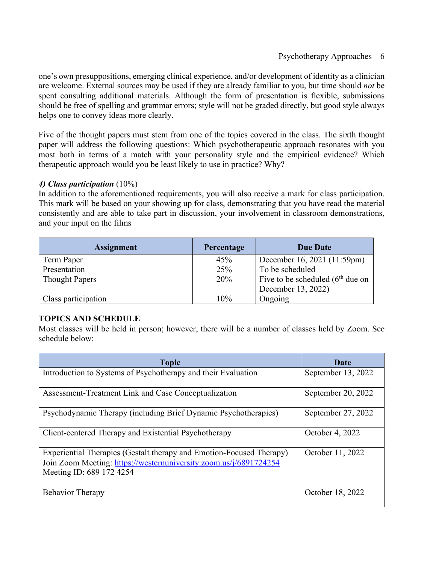one's own presuppositions, emerging clinical experience, and/or development of identity as a clinician are welcome. External sources may be used if they are already familiar to you, but time should *not* be spent consulting additional materials. Although the form of presentation is flexible, submissions should be free of spelling and grammar errors; style will not be graded directly, but good style always helps one to convey ideas more clearly.

Five of the thought papers must stem from one of the topics covered in the class. The sixth thought paper will address the following questions: Which psychotherapeutic approach resonates with you most both in terms of a match with your personality style and the empirical evidence? Which therapeutic approach would you be least likely to use in practice? Why?

# *4) Class participation* (10%)

In addition to the aforementioned requirements, you will also receive a mark for class participation. This mark will be based on your showing up for class, demonstrating that you have read the material consistently and are able to take part in discussion, your involvement in classroom demonstrations, and your input on the films

| <b>Assignment</b>     | Percentage | <b>Due Date</b>                    |
|-----------------------|------------|------------------------------------|
| Term Paper            | 45%        | December 16, 2021 (11:59pm)        |
| Presentation          | 25%        | To be scheduled                    |
| <b>Thought Papers</b> | 20%        | Five to be scheduled $(6th$ due on |
|                       |            | December 13, 2022)                 |
| Class participation   | 10%        | Ongoing                            |

# **TOPICS AND SCHEDULE**

Most classes will be held in person; however, there will be a number of classes held by Zoom. See schedule below:

| <b>Topic</b>                                                                                                                                                          | <b>Date</b>        |
|-----------------------------------------------------------------------------------------------------------------------------------------------------------------------|--------------------|
| Introduction to Systems of Psychotherapy and their Evaluation                                                                                                         | September 13, 2022 |
| Assessment-Treatment Link and Case Conceptualization                                                                                                                  | September 20, 2022 |
| Psychodynamic Therapy (including Brief Dynamic Psychotherapies)                                                                                                       | September 27, 2022 |
| Client-centered Therapy and Existential Psychotherapy                                                                                                                 | October 4, 2022    |
| Experiential Therapies (Gestalt therapy and Emotion-Focused Therapy)<br>Join Zoom Meeting: https://westernuniversity.zoom.us/j/6891724254<br>Meeting ID: 689 172 4254 | October 11, 2022   |
| <b>Behavior Therapy</b>                                                                                                                                               | October 18, 2022   |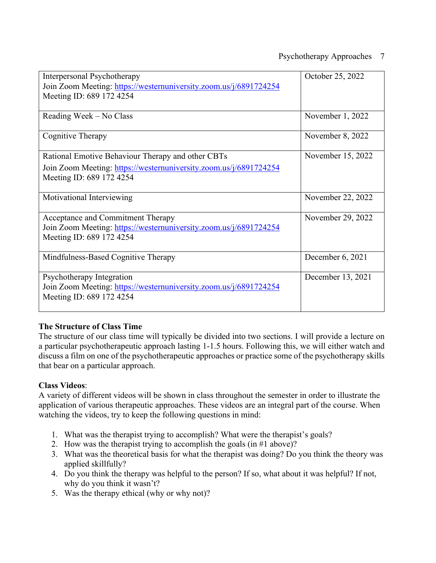### Psychotherapy Approaches 7

| Interpersonal Psychotherapy<br>Join Zoom Meeting: https://westernuniversity.zoom.us/j/6891724254<br>Meeting ID: 689 172 4254       | October 25, 2022  |
|------------------------------------------------------------------------------------------------------------------------------------|-------------------|
|                                                                                                                                    |                   |
| Reading Week – No Class                                                                                                            | November 1, 2022  |
| Cognitive Therapy                                                                                                                  | November 8, 2022  |
| Rational Emotive Behaviour Therapy and other CBTs                                                                                  | November 15, 2022 |
| Join Zoom Meeting: https://westernuniversity.zoom.us/j/6891724254<br>Meeting ID: 689 172 4254                                      |                   |
| Motivational Interviewing                                                                                                          | November 22, 2022 |
| Acceptance and Commitment Therapy<br>Join Zoom Meeting: https://westernuniversity.zoom.us/j/6891724254<br>Meeting ID: 689 172 4254 | November 29, 2022 |
| Mindfulness-Based Cognitive Therapy                                                                                                | December 6, 2021  |
| Psychotherapy Integration<br>Join Zoom Meeting: https://westernuniversity.zoom.us/j/6891724254<br>Meeting ID: 689 172 4254         | December 13, 2021 |

# **The Structure of Class Time**

The structure of our class time will typically be divided into two sections. I will provide a lecture on a particular psychotherapeutic approach lasting 1-1.5 hours. Following this, we will either watch and discuss a film on one of the psychotherapeutic approaches or practice some of the psychotherapy skills that bear on a particular approach.

# **Class Videos**:

A variety of different videos will be shown in class throughout the semester in order to illustrate the application of various therapeutic approaches. These videos are an integral part of the course. When watching the videos, try to keep the following questions in mind:

- 1. What was the therapist trying to accomplish? What were the therapist's goals?
- 2. How was the therapist trying to accomplish the goals (in #1 above)?
- 3. What was the theoretical basis for what the therapist was doing? Do you think the theory was applied skillfully?
- 4. Do you think the therapy was helpful to the person? If so, what about it was helpful? If not, why do you think it wasn't?
- 5. Was the therapy ethical (why or why not)?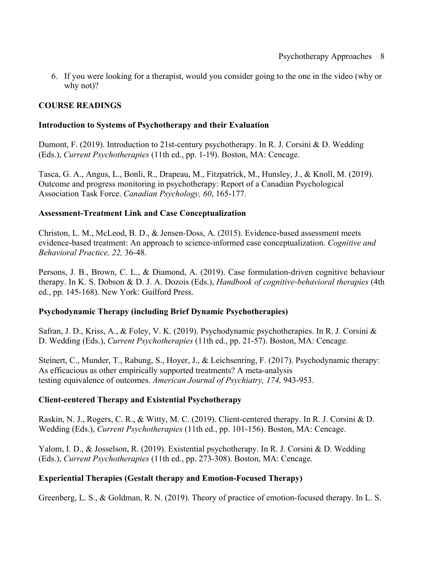6. If you were looking for a therapist, would you consider going to the one in the video (why or why not)?

### **COURSE READINGS**

### **Introduction to Systems of Psychotherapy and their Evaluation**

Dumont, F. (2019). Introduction to 21st-century psychotherapy. In R. J. Corsini & D. Wedding (Eds.), *Current Psychotherapies* (11th ed., pp. 1-19). Boston, MA: Cencage.

Tasca, G. A., Angus, L., Bonli, R., Drapeau, M., Fitzpatrick, M., Hunsley, J., & Knoll, M. (2019). Outcome and progress monitoring in psychotherapy: Report of a Canadian Psychological Association Task Force. *Canadian Psychology, 60*, 165-177.

#### **Assessment-Treatment Link and Case Conceptualization**

Christon, L. M., McLeod, B. D., & Jensen-Doss, A. (2015). Evidence-based assessment meets evidence-based treatment: An approach to science-informed case conceptualization. *Cognitive and Behavioral Practice, 22,* 36-48.

Persons, J. B., Brown, C. L., & Diamond, A. (2019). Case formulation-driven cognitive behaviour therapy. In K. S. Dobson & D. J. A. Dozois (Eds.), *Handbook of cognitive-behavioral therapies* (4th ed., pp. 145-168). New York: Guilford Press.

### **Psychodynamic Therapy (including Brief Dynamic Psychotherapies)**

Safran, J. D., Kriss, A., & Foley, V. K. (2019). Psychodynamic psychotherapies. In R. J. Corsini & D. Wedding (Eds.), *Current Psychotherapies* (11th ed., pp. 21-57). Boston, MA: Cencage.

Steinert, C., Munder, T., Rabung, S., Hoyer, J., & Leichsenring, F. (2017). Psychodynamic therapy: As efficacious as other empirically supported treatments? A meta-analysis testing equivalence of outcomes. *American Journal of Psychiatry, 174,* 943-953.

### **Client-centered Therapy and Existential Psychotherapy**

Raskin, N. J., Rogers, C. R., & Witty, M. C. (2019). Client-centered therapy. In R. J. Corsini & D. Wedding (Eds.), *Current Psychotherapies* (11th ed., pp. 101-156). Boston, MA: Cencage.

Yalom, I. D., & Josselson, R. (2019). Existential psychotherapy. In R. J. Corsini & D. Wedding (Eds.), *Current Psychotherapies* (11th ed., pp. 273-308). Boston, MA: Cencage.

### **Experiential Therapies (Gestalt therapy and Emotion-Focused Therapy)**

Greenberg, L. S., & Goldman, R. N. (2019). Theory of practice of emotion-focused therapy. In L. S.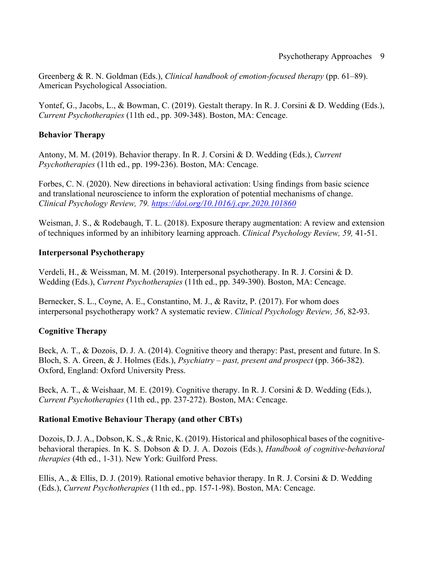Greenberg & R. N. Goldman (Eds.), *Clinical handbook of emotion-focused therapy* (pp. 61–89). American Psychological Association.

Yontef, G., Jacobs, L., & Bowman, C. (2019). Gestalt therapy. In R. J. Corsini & D. Wedding (Eds.), *Current Psychotherapies* (11th ed., pp. 309-348). Boston, MA: Cencage.

# **Behavior Therapy**

Antony, M. M. (2019). Behavior therapy. In R. J. Corsini & D. Wedding (Eds.), *Current Psychotherapies* (11th ed., pp. 199-236). Boston, MA: Cencage.

Forbes, C. N. (2020). New directions in behavioral activation: Using findings from basic science and translational neuroscience to inform the exploration of potential mechanisms of change. *Clinical Psychology Review, 79. https://doi.org/10.1016/j.cpr.2020.101860*

Weisman, J. S., & Rodebaugh, T. L. (2018). Exposure therapy augmentation: A review and extension of techniques informed by an inhibitory learning approach. *Clinical Psychology Review, 59,* 41-51.

### **Interpersonal Psychotherapy**

Verdeli, H., & Weissman, M. M. (2019). Interpersonal psychotherapy. In R. J. Corsini & D. Wedding (Eds.), *Current Psychotherapies* (11th ed., pp. 349-390). Boston, MA: Cencage.

Bernecker, S. L., Coyne, A. E., Constantino, M. J., & Ravitz, P. (2017). For whom does interpersonal psychotherapy work? A systematic review. *Clinical Psychology Review, 56*, 82-93.

# **Cognitive Therapy**

Beck, A. T., & Dozois, D. J. A. (2014). Cognitive theory and therapy: Past, present and future. In S. Bloch, S. A. Green, & J. Holmes (Eds.), *Psychiatry – past, present and prospect* (pp. 366-382). Oxford, England: Oxford University Press.

Beck, A. T., & Weishaar, M. E. (2019). Cognitive therapy. In R. J. Corsini & D. Wedding (Eds.), *Current Psychotherapies* (11th ed., pp. 237-272). Boston, MA: Cencage.

# **Rational Emotive Behaviour Therapy (and other CBTs)**

Dozois, D. J. A., Dobson, K. S., & Rnic, K. (2019). Historical and philosophical bases of the cognitivebehavioral therapies. In K. S. Dobson & D. J. A. Dozois (Eds.), *Handbook of cognitive-behavioral therapies* (4th ed., 1-31). New York: Guilford Press.

Ellis, A., & Ellis, D. J. (2019). Rational emotive behavior therapy. In R. J. Corsini & D. Wedding (Eds.), *Current Psychotherapies* (11th ed., pp. 157-1-98). Boston, MA: Cencage.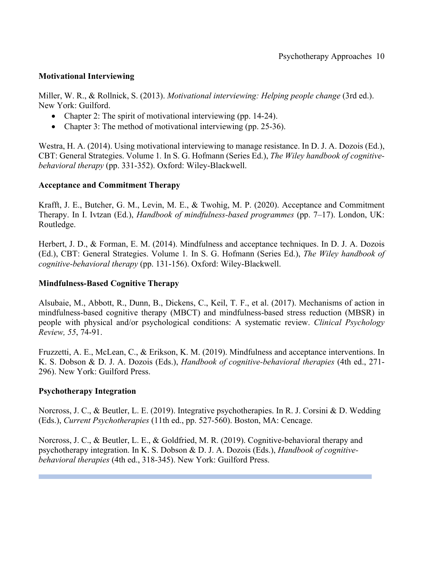#### **Motivational Interviewing**

Miller, W. R., & Rollnick, S. (2013). *Motivational interviewing: Helping people change* (3rd ed.). New York: Guilford.

- Chapter 2: The spirit of motivational interviewing (pp. 14-24).
- Chapter 3: The method of motivational interviewing (pp. 25-36).

Westra, H. A. (2014). Using motivational interviewing to manage resistance. In D. J. A. Dozois (Ed.), CBT: General Strategies. Volume 1*.* In S. G. Hofmann (Series Ed.), *The Wiley handbook of cognitivebehavioral therapy* (pp. 331-352). Oxford: Wiley-Blackwell.

#### **Acceptance and Commitment Therapy**

Krafft, J. E., Butcher, G. M., Levin, M. E., & Twohig, M. P. (2020). Acceptance and Commitment Therapy. In I. Ivtzan (Ed.), *Handbook of mindfulness-based programmes* (pp. 7–17). London, UK: Routledge.

Herbert, J. D., & Forman, E. M. (2014). Mindfulness and acceptance techniques. In D. J. A. Dozois (Ed.), CBT: General Strategies. Volume 1*.* In S. G. Hofmann (Series Ed.), *The Wiley handbook of cognitive-behavioral therapy* (pp. 131-156). Oxford: Wiley-Blackwell.

### **Mindfulness-Based Cognitive Therapy**

Alsubaie, M., Abbott, R., Dunn, B., Dickens, C., Keil, T. F., et al. (2017). Mechanisms of action in mindfulness-based cognitive therapy (MBCT) and mindfulness-based stress reduction (MBSR) in people with physical and/or psychological conditions: A systematic review. *Clinical Psychology Review, 55*, 74-91.

Fruzzetti, A. E., McLean, C., & Erikson, K. M. (2019). Mindfulness and acceptance interventions. In K. S. Dobson & D. J. A. Dozois (Eds.), *Handbook of cognitive-behavioral therapies* (4th ed., 271- 296). New York: Guilford Press.

### **Psychotherapy Integration**

Norcross, J. C., & Beutler, L. E. (2019). Integrative psychotherapies. In R. J. Corsini & D. Wedding (Eds.), *Current Psychotherapies* (11th ed., pp. 527-560). Boston, MA: Cencage.

Norcross, J. C., & Beutler, L. E., & Goldfried, M. R. (2019). Cognitive-behavioral therapy and psychotherapy integration. In K. S. Dobson & D. J. A. Dozois (Eds.), *Handbook of cognitivebehavioral therapies* (4th ed., 318-345). New York: Guilford Press.